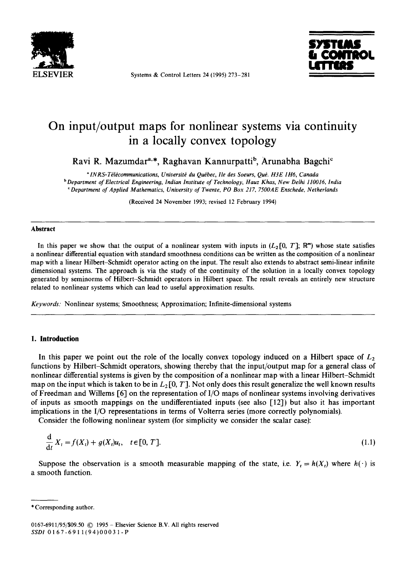

**ELSEVIER** Systems & Control Letters 24 (1995) 273-281



# **On input/output maps for nonlinear systems via continuity in a locally convex topology**

Ravi R. Mazumdar<sup>a,\*</sup>, Raghavan Kannurpatti<sup>b</sup>, Arunabha Bagchi<sup>c</sup>

*alNRS-T~l~communications, Universitd du Quebec, Ile des Soeurs, Qua. H3E 1H6, Canada b Department of Electrical Enoineerino, Indian Institute of Technology, Hauz Khas, New Delhi 110016, India "Department of Applied Mathematics, University of Twente, PO Box 217, 7500AE Enschede, Netherlands* 

(Received 24 November 1993; revised 12 February 1994)

#### **Abstract**

In this paper we show that the output of a nonlinear system with inputs in  $(L_2[0, T]; \mathbb{R}^m)$  whose state satisfies a nonlinear differential equation with standard smoothness conditions can be written as the composition of a nonlinear map with a linear Hilbert-Schmidt operator acting on the input. The result also extends to abstract semi-linear infinite dimensional systems. The approach is via the study of the continuity of the solution in a locally convex topology generated by seminorms of Hilbert-Schmidt operators in Hilbert space. The result reveals an entirely new structure related to nonlinear systems which can lead to useful approximation results.

*Keywords:* Nonlinear systems; Smoothness; Approximation; Infinite-dimensional systems

## **1. Introduction**

In this paper we point out the role of the locally convex topology induced on a Hilbert space of  $L_2$ functions by Hilbert-Schmidt operators, showing thereby that the input/output map for a general class of nonlinear differential systems is given by the composition of a nonlinear map with a linear Hilbert-Schmidt map on the input which is taken to be in  $L_2[0, T]$ . Not only does this result generalize the well known results of Freedman and Willems [6] on the representation of I/O maps of nonlinear systems involving derivatives of inputs as smooth mappings on the undifferentiated inputs (see also  $\lceil 12 \rceil$ ) but also it has important implications in the I/O representations in terms of Volterra series (more correctly polynomials).

Consider the following nonlinear system (for simplicity we consider the scalar case):

$$
\frac{d}{dt}X_t = f(X_t) + g(X_t)u_t, \quad t \in [0, T].
$$
\n(1.1)

Suppose the observation is a smooth measurable mapping of the state, i.e.  $Y_t = h(X_t)$  where  $h(\cdot)$  is a smooth function.

<sup>\*</sup> Corresponding author.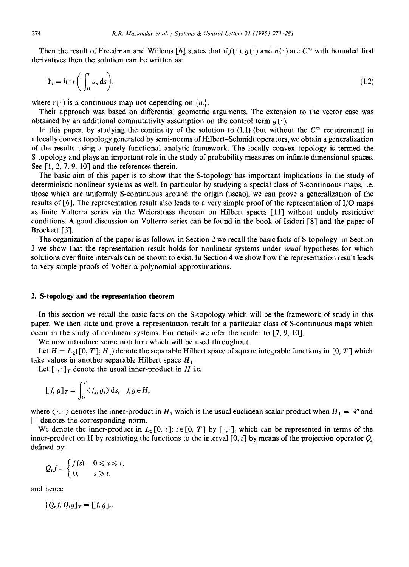Then the result of Freedman and Willems [6] states that if  $f(\cdot)$ ,  $g(\cdot)$  and  $h(\cdot)$  are  $C^{\infty}$  with bounded first derivatives then the solution can be written as:

$$
Y_t = h \circ r \bigg( \int_0^t u_s \, ds \bigg), \tag{1.2}
$$

where  $r(\cdot)$  is a continuous map not depending on  $\{u\}$ .

Their approach was based on differential geometric arguments. The extension to the vector case was obtained by an additional commutativity assumption on the control term  $q(\cdot)$ .

In this paper, by studying the continuity of the solution to (1.1) (but without the  $C^{\infty}$  requirement) in a locally convex topology generated by semi-norms of Hilbert-Schmidt operators, we obtain a generalization of the results using a purely functional analytic framework. The locally convex topology is termed the S-topology and plays an important role in the study of probability measures on infinite dimensional spaces. See  $[1, 2, 7, 9, 10]$  and the references therein.

The basic aim of this paper is to show that the S-topology has important implications in the study of deterministic nonlinear systems as well. In particular by studying a special class of S-continuous maps, i.e. those which are uniformly S-continuous around the origin (uscao), we can prove a generalization of the results of [6]. The representation result also leads to a very simple proof of the representation of I/O maps as finite Volterra series via the Weierstrass theorem on Hilbert spaces [11] without unduly restrictive conditions. A good discussion on Volterra series can be found in the book of Isidori [8] and the paper of Brockett [3].

The organization of the paper is as follows: in Section 2 we recall the basic facts of S-topology. In Section 3 we show that the representation result holds for nonlinear systems under *usual* hypotheses for which solutions over finite intervals can be shown to exist. In Section 4 we show how the representation result leads to very simple proofs of Volterra polynomial approximations.

#### **2. S-topology and the representation theorem**

In this section we recall the basic facts on the S-topology which will be the framework of study in this paper. We then state and prove a representation result for a particular class of S-continuous maps which occur in the study of nonlinear systems. For details we refer the reader to  $[7, 9, 10]$ .

We now introduce some notation which will be used throughout.

Let  $H = L_2([0, T]; H_1)$  denote the separable Hilbert space of square integrable functions in [0, T] which take values in another separable Hilbert space  $H_1$ .

Let  $[\cdot, \cdot]_T$  denote the usual inner-product in H i.e.

$$
[f, g]_T = \int_0^T \langle f_s, g_s \rangle \, \mathrm{d} s, \quad f, g \in H,
$$

where  $\langle \cdot, \cdot \rangle$  denotes the inner-product in  $H_1$  which is the usual euclidean scalar product when  $H_1 = \mathbb{R}^n$  and  $|\cdot|$  denotes the corresponding norm.

We denote the inner-product in  $L_2[0, t]$ ;  $t \in [0, T]$  by  $[\cdot, \cdot]_t$  which can be represented in terms of the inner-product on H by restricting the functions to the interval [0, t] by means of the projection operator  $Q_t$ defined by:

$$
Q_t f = \begin{cases} f(s), & 0 \le s \le t, \\ 0, & s \ge t, \end{cases}
$$

and hence

$$
[Q_t f, Q_t g]_T = [f, g]_t.
$$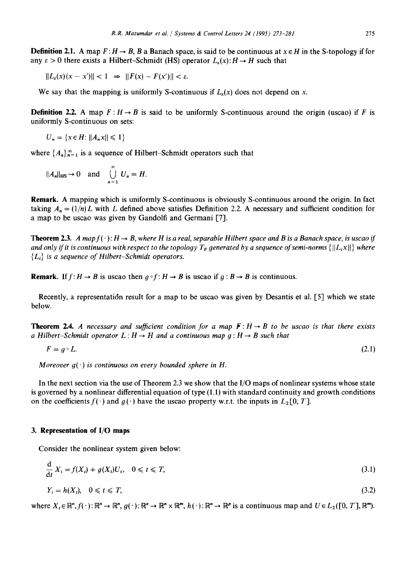**Definition 2.1.** A map  $F: H \to B$ , B a Banach space, is said to be continuous at  $x \in H$  in the S-topology if for any  $\varepsilon > 0$  there exists a Hilbert-Schmidt (HS) operator  $L_{\varepsilon}(x): H \to H$  such that

 $||L_{\epsilon}(x)(x - x')|| < 1 \Rightarrow ||F(x) - F(x')|| < \epsilon.$ 

We say that the mapping is uniformly S-continuous if  $L_{\varepsilon}(x)$  does not depend on x.

**Definition 2.2.** A map  $F: H \to B$  is said to be uniformly S-continuous around the origin (uscao) if F is uniformly S-continuous on sets:

 $U_n = \{x \in H: ||A_n x|| \leq 1\}$ 

where  $\{A_n\}_{n=1}^{\infty}$  is a sequence of Hilbert-Schmidt operators such that

$$
||A_n||_{\text{HS}} \to 0 \quad \text{and} \quad \bigcup_{n=1}^{\infty} U_n = H.
$$

**Remark.** A mapping which is uniformly S-continuous is obviously S-continuous around the origin. In fact taking  $A_n = (1/n)L$  with L defined above satisfies Definition 2.2. A necessary and sufficient condition for a map to be uscao was given by Gandolfi and Germani [7].

**Theorem 2.3.** *A map f(.)*:  $H \rightarrow B$ , where H is a real, separable Hilbert space and B is a Banach space, is uscao if *and only if it is continuous with respect to the topology*  $T_F$  *generated by a sequence of semi-norms*  $\{||L_i x||\}$  *where { Li} is a sequence of Hilbert-Schmidt operators.* 

**Remark.** If  $f: H \to B$  is uscao then  $q \circ f: H \to B$  is uscao if  $q: B \to B$  is continuous.

Recently, a representatidn result for a map to be uscao was given by Desantis et al. [5] which we state below.

**Theorem 2.4.** *A necessary and sufficient condition for a map*  $\mathbf{F} : H \to B$  to be uscao is that there exists *a Hilbert-Schmidt operator*  $L: H \to H$  and a continuous map  $q: H \to B$  such that

$$
F = g \circ L. \tag{2.1}
$$

*Moreover*  $q(\cdot)$  *is continuous on every bounded sphere in H.* 

In the next section via the use of Theorem 2.3 we show that the I/O maps of nonlinear systems whose state is governed by a nonlinear differential equation of type (1.1) with standard continuity and growth conditions on the coefficients  $f(\cdot)$  and  $g(\cdot)$  have the uscao property w.r.t. the inputs in  $L_2[0, T]$ .

## **3. Representation of I/O maps**

Consider the nonlinear system given below:

$$
\frac{\mathrm{d}}{\mathrm{d}t}X_t = f(X_t) + g(X_t)U_t, \quad 0 \leq t \leq T,\tag{3.1}
$$

$$
Y_t = h(X_t), \quad 0 \leq t \leq T,\tag{3.2}
$$

where  $X_t \in \mathbb{R}^n$ ,  $f(\cdot) : \mathbb{R}^n \to \mathbb{R}^n$ ,  $g(\cdot) : \mathbb{R}^n \to \mathbb{R}^n \times \mathbb{R}^m$ ,  $h(\cdot) : \mathbb{R}^n \to \mathbb{R}^p$  is a continuous map and  $U \in L_2([0, T], \mathbb{R}^m)$ .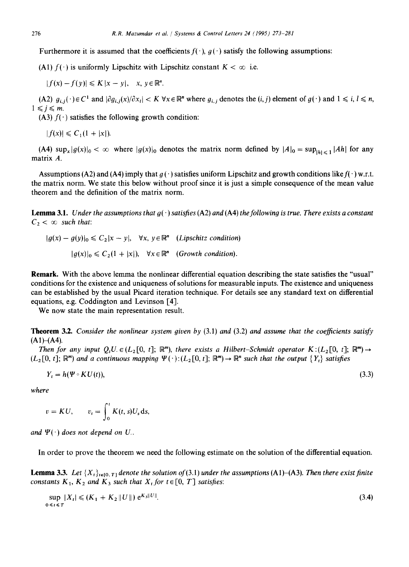Furthermore it is assumed that the coefficients  $f(\cdot)$ ,  $g(\cdot)$  satisfy the following assumptions:

(A1)  $f(\cdot)$  is uniformly Lipschitz with Lipschitz constant  $K < \infty$  i.e.

 $|f(x)-f(y)| \leqslant K|x-y|, \quad x, y \in \mathbb{R}^n$ .

(A2)  $g_{i,i}(\cdot) \in C^1$  and  $|\partial g_{i,i}(x)/\partial x_i| < K \forall x \in \mathbb{R}^n$  where  $g_{i,j}$  denotes the  $(i,j)$  element of  $g(\cdot)$  and  $1 \le i, l \le n$ ,  $1 \leq i \leq m$ .

(A3)  $f(\cdot)$  satisfies the following growth condition:

 $|f(x)| \leq C_1(1+|x|).$ 

(A4)  $\sup_x |g(x)|_0 < \infty$  where  $|g(x)|_0$  denotes the matrix norm defined by  $|A|_0 = \sup_{|h| \le 1} |Ah|$  for any matrix A.

Assumptions (A2) and (A4) imply that  $g(\cdot)$  satisfies uniform Lipschitz and growth conditions like  $f(\cdot)$  w.r.t. the matrix norm. We state this below without proof since it is just a simple consequence of the mean value theorem and the definition of the matrix norm.

**Lemma 3.1.** *Under the assumptions that*  $g(\cdot)$  *satisfies (A2) and (A4) the following is true. There exists a constant*  $C_2 < \infty$  such that:

$$
|g(x) - g(y)|_0 \le C_2 |x - y|, \quad \forall x, y \in \mathbb{R}^n \quad (Lipschitz condition)
$$

$$
|g(x)|_0 \le C_2 (1 + |x|), \quad \forall x \in \mathbb{R}^n \quad (Growth condition).
$$

Remark. With the above lemma the nonlinear differential equation describing the state satisfies the "usual" conditions for the existence and uniqueness of solutions for measurable inputs. The existence and uniqueness can be established by the usual Picard iteration technique. For details see any standard text on differential equations, e.g. Coddington and Levinson [4].

We now state the main representation result.

**Theorem** 3.2. *Consider the nonlinear system given by* (3.1) *and* (3.2) *and assume that the coefficients satisfy*   $(A1)–(A4)$ .

*Then for any input*  $Q_tU \in (L_2[0, t]; \mathbb{R}^m)$ *, there exists a Hilbert-Schmidt operator*  $K : (L_2[0, t]; \mathbb{R}^m) \rightarrow$  $(L_2[0, t]; \mathbb{R}^m)$  and a continuous mapping  $\Psi(\cdot):(L_2[0, t]; \mathbb{R}^m) \to \mathbb{R}^n$  such that the output  $\{Y_t\}$  satisfies

$$
Y_t = h(\Psi \circ KU(t)),\tag{3.3}
$$

*where* 

$$
v = KU, \qquad v_t = \int_0^t K(t,s)U_s ds,
$$

*and*  $\Psi(\cdot)$  does not depend on U.

In order to prove the theorem we need the following estimate on the solution of the differential equation.

**Lemma 3.3.** Let  $\{X_t\}_{t \in [0, T]}$  denote the solution of (3.1) under the assumptions (A1)-(A3). Then there exist finite *constants*  $K_1$ ,  $K_2$  *and*  $K_3$  *such that*  $X_t$  *for*  $t \in [0, T]$  *satisfies:* 

$$
\sup_{0 \le t \le T} |X_t| \le (K_1 + K_2 ||U||) e^{K_3 ||U||}.
$$
\n(3.4)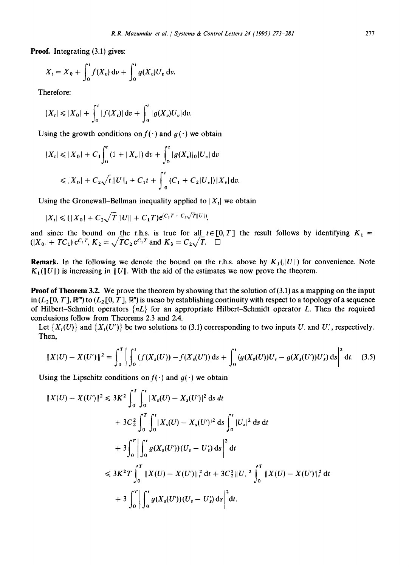**Proof. Integrating (3.1)** gives:

$$
X_t = X_0 + \int_0^t f(X_v) dv + \int_0^t g(X_v) U_v dv.
$$

Therefore:

$$
|X_t| \leq |X_0| + \int_0^t |f(X_v)| dv + \int_0^t |g(X_v)U_v| dv.
$$

Using the growth conditions on  $f(\cdot)$  and  $g(\cdot)$  we obtain

$$
|X_t| \leq |X_0| + C_1 \int_0^t (1 + |X_v|) dv + \int_0^t |g(X_v)|_0 |U_v| dv
$$
  

$$
\leq |X_0| + C_2 \sqrt{t} ||U||_t + C_1 t + \int_0^t (C_1 + C_2 |U_v|) |X_v| dv.
$$

Using the Gronewall-Bellman inequality applied to  $|X_t|$  we obtain

$$
|X_t| \leq (|X_0| + C_2 \sqrt{T} ||U|| + C_1 T) e^{(C_1 T + C_2 \sqrt{T} ||U||)},
$$

and since the bound on the r.h.s. is true for all  $t \in [0, T]$  the result follows by identifying  $K_1 =$  $(|X_0| + TC_1)e^{C_1T}$ ,  $K_2 = \sqrt{TC_2}e^{C_1T}$  and  $K_3 = C_2\sqrt{T}$ .  $\Box$ 

**Remark.** In the following we denote the bound on the r.h.s. above by  $K_1(||U||)$  for convenience. Note  $K_1(\|U\|)$  is increasing in  $\|U\|$ . With the aid of the estimates we now prove the theorem.

**Proof of Theorem 3.2.** We prove the theorem by showing that the solution of (3.1) as a mapping on the input in  $(L_2[0, T], \mathbb{R}^m)$  to  $(L_2[0, T], \mathbb{R}^n)$  is uscao by establishing continuity with respect to a topology of a sequence of Hilbert-Schmidt operators *{nL}* for an appropriate Hilbert-Schmidt operator L. Then the required conclusions follow from Theorems 2.3 and 2.4.

Let  $\{X_t(U)\}\$  and  $\{X_t(U')\}$  be two solutions to (3.1) corresponding to two inputs U. and U., respectively. Then,

$$
||X(U) - X(U')||^2 = \int_0^T \left| \int_0^t (f(X_s(U)) - f(X_s(U')) \, ds + \int_0^t (g(X_s(U))U_s - g(X_s(U'))U'_s) \, ds \right|^2 \, dt. \tag{3.5}
$$

Using the Lipschitz conditions on  $f(\cdot)$  and  $g(\cdot)$  we obtain

$$
||X(U) - X(U')||^2 \le 3K^2 \int_0^T \int_0^t |X_s(U) - X_s(U')|^2 \, ds \, dt
$$
  
+  $3C_2^2 \int_0^T \int_0^t |X_s(U) - X_s(U')|^2 \, ds \int_0^t |U_s|^2 \, ds \, dt$   
+  $3 \int_0^T \left| \int_0^t g(X_s(U'))(U_s - U'_s) \, ds \right|^2 \, dt$   
 $\le 3K^2 T \int_0^T ||X(U) - X(U')||_t^2 \, dt + 3C_2^2 ||U||^2 \int_0^T ||X(U) - X(U')||_t^2 \, dt$   
+  $3 \int_0^T \left| \int_0^t g(X_s(U'))(U_s - U'_s) \, ds \right|^2 dt.$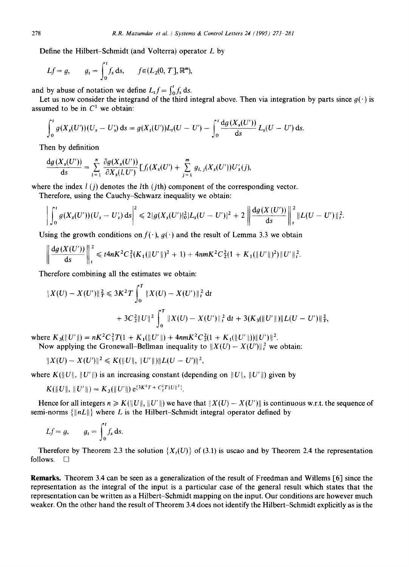Define the Hilbert-Schmidt (and Volterra) operator L by

$$
Lf = g, \qquad g_t = \int_0^t f_s \, ds, \qquad f \in (L_2(0, T], \mathbb{R}^m),
$$

and by abuse of notation we define  $L_t f = \int_0^t f_s ds$ .

Let us now consider the integrand of the third integral above. Then via integration by parts since  $g(\cdot)$  is assumed to be in  $C<sup>1</sup>$  we obtain:

$$
\int_0^t g(X_s(U))(U_s - U'_s) \, ds = g(X_t(U'))L_t(U - U') - \int_0^t \frac{dg(X_s(U'))}{ds} L_s(U - U') \, ds.
$$

Then by definition

$$
\frac{dg(X_s(U'))}{ds} = \sum_{l=1}^n \frac{\partial g(X_s(U'))}{\partial X_s(l,U')} \left[ f_l(X_s(U') + \sum_{j=1}^m g_{l,j}(X_s(U'))U'_s(j), \right]
$$

where the index  $l(i)$  denotes the *l*th (*j*th) component of the corresponding vector.

Therefore, using the Cauchy-Schwarz inequality we obtain:

$$
\bigg|\int_0^t g(X_s(U'))(U_s-U'_s)\,ds\bigg|^2\leqslant 2|g(X_s(U')|_0^2|L_s(U-U')|^2+2\bigg\|\frac{dg(X(U'))}{ds}\bigg\|_t^2\|L(U-U')\|_t^2.
$$

Using the growth conditions on  $f(\cdot)$ ,  $g(\cdot)$  and the result of Lemma 3.3 we obtain

$$
\left\|\frac{dg(X(U'))}{ds}\right\|_{t}^{2} \leqslant t4nK^{2}C_{1}^{2}(K_{1}(\|U'\|)^{2}+1)+4nmK^{2}C_{2}^{2}(1+K_{1}(\|U'\|)^{2})\|U'\|_{t}^{2}.
$$

Therefore combining all the estimates we obtain:

$$
\begin{aligned} \|X(U) - X(U')\|_T^2 &\leq 3K^2 T \int_0^T \|X(U) - X(U')\|_t^2 \, \mathrm{d}t \\ &+ 3C_2^2 \|U\|^2 \int_0^T \|X(U) - X(U')\|_t^2 \, \mathrm{d}t + 3(K_3(\|U'\|) \|L(U - U')\|_T^2, \end{aligned}
$$

where  $K_3(||U'||) = nK^2C_1^2T(1 + K_1(||U'||) + 4nmK^2C_2^2(1 + K_1(||U'||))||U'||^2$ .

Now applying the Gronewall–Bellman inequality to  $||X(U) - X(U)||_t^2$  we obtain:

$$
||X(U) - X(U')||^2 \leq K(||U||, ||U'||)||L(U - U')||^2,
$$

where  $K(\Vert U \Vert, \Vert U' \Vert)$  is an increasing constant (depending on  $\Vert U \Vert, \Vert U' \Vert$ ) given by

$$
K(\|U\|, \|U'\|) = K_3(\|U'\|) e^{\{3K^2T + C_2^2T\|U\|^2\}}.
$$

Hence for all integers  $n \ge K(||U||, ||U'||)$  we have that  $||X(U) - X(U')||$  is continuous w.r.t. the sequence of semi-norms  $\{|nL|\}$  where L is the Hilbert-Schmidt integral operator defined by

$$
Lf = g,
$$
  $g_t = \int_0^t f_s ds.$ 

Therefore by Theorem 2.3 the solution  $\{X_t(U)\}\$  of (3.1) is uscao and by Theorem 2.4 the representation follows.  $\Box$ 

Remarks. Theorem 3.4 can be seen as a generalization of the result of Freedman and Willems [6] since the representation as the integral of the input is a particular case of the general result which states that the representation can be written as a Hilbert-Schmidt mapping on the input. Our conditions are however much weaker. On the other hand the result of Theorem 3.4 does not identify the Hilbert-Schmidt explicitly as is the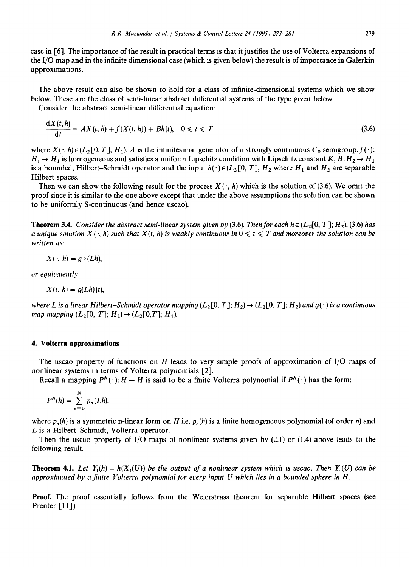case in [6]. The importance of the result in practical terms is that it justifies the use of Volterra expansions of the I/O map and in the infinite dimensional case (which is given below) the result is of importance in Galerkin approximations.

The above result can also be shown to hold for a class of infinite-dimensional systems which we show below. These are the class of semi-linear abstract differential systems of the type given below.

Consider the abstract semi-linear differential equation:

$$
\frac{dX(t,h)}{dt} = AX(t,h) + f(X(t,h)) + Bh(t), \quad 0 \leq t \leq T
$$
\n(3.6)

where  $X(\cdot, h) \in (L_2[0, T]; H_1)$ , A is the infinitesimal generator of a strongly continuous  $C_0$  semigroup.  $f(\cdot)$ :  $H_1 \rightarrow H_1$  is homogeneous and satisfies a uniform Lipschitz condition with Lipschitz constant *K*,  $B: H_2 \rightarrow H_1$ is a bounded, Hilbert-Schmidt operator and the input  $h(\cdot) \in (L_2[0, T]; H_2$  where  $H_1$  and  $H_2$  are separable Hilbert spaces.

Then we can show the following result for the process  $X(\cdot, h)$  which is the solution of (3.6). We omit the proof since it is similar to the one above except that under the above assumptions the solution can be shown to be uniformly S-continuous (and hence uscao).

**Theorem 3.4.** *Consider the abstract semi-linear system given by (3.6). Then for each h*  $\in$  ( $L_2$ [0, T];  $H_2$ ), (3.6) has *a unique solution X(* $\cdot$ *, h) such that X(t, h) is weakly continuous in*  $0 \le t \le T$  *and moreover the solution can be written as:* 

$$
X(\cdot, h)=g\circ(Lh),
$$

*or equivalently* 

$$
X(t, h) = g(Lh)(t),
$$

*where L is a linear Hilbert-Schmidt operator mapping*  $(L_2[0, T]; H_2) \to (L_2[0, T]; H_2)$  *and*  $g(\cdot)$  *is a continuous map mapping*  $(L_2[0, T]; H_2) \rightarrow (L_2[0, T]; H_1)$ .

#### **4. Volterra approximations**

The uscao property of functions on H leads to very simple proofs of approximation of I/O maps of nonlinear systems in terms of Volterra polynomials [2].

Recall a mapping  $P^{N}(\cdot): H \to H$  is said to be a finite Volterra polynomial if  $P^{N}(\cdot)$  has the form:

$$
P^N(h)=\sum_{n=0}^N p_n(Lh),
$$

where  $p_n(h)$  is a symmetric n-linear form on H i.e.  $p_n(h)$  is a finite homogeneous polynomial (of order n) and L is a Hilbert-Schmidt, Volterra operator.

Then the uscao property of I/O maps of nonlinear systems given by  $(2.1)$  or  $(1.4)$  above leads to the following result.

**Theorem 4.1.** *Let*  $Y_t(h) = h(X_t(U))$  be the output of a nonlinear system which is uscao. Then  $Y_t(U)$  can be *approximated by a finite Volterra polynomial for every input U which lies in a bounded sphere in H.* 

Proof. The proof essentially follows from the Weierstrass theorem for separable Hilbert spaces (see Prenter [11]).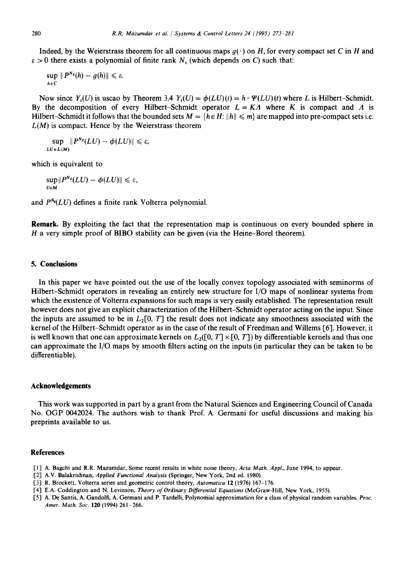Indeed, by the Weierstrass theorem for all continuous maps  $g(\cdot)$  on H, for every compact set C in H and  $\epsilon > 0$  there exists a polynomial of finite rank N<sub> $\epsilon$ </sub> (which depends on C) such that:

$$
\sup_{h\in C}||P^{N_{\varepsilon}}(h)-g(h)||\leq \varepsilon.
$$

Now since  $Y_r(U)$  is uscao by Theorem 3.4  $Y_r(U) = \phi(LU)(t) = h \circ \Psi(LU)(t)$  where L is Hilbert-Schmidt. By the decomposition of every Hilbert-Schmidt operator  $L = K \Lambda$  where K is compact and  $\Lambda$  is Hilbert-Schmidt it follows that the bounded sets  $M = \{h \in H: ||h|| \le m\}$  are mapped into pre-compact sets i.e.  $L(M)$  is compact. Hence by the Weierstrass theorem

 $\sup$   $||P^{N_{\varepsilon}}(LU) - \phi(LU)|| \leq \varepsilon$ ,  $LU \in L(M)$ 

which is equivalent to

 $\sup ||P^{N_{\varepsilon}}(LU) - \phi(LU)|| \leq \varepsilon,$ *U~M* 

and  $P^{N_g}(LU)$  defines a finite rank Volterra polynomial.

**Remark.** By exploiting the fact that the representation map is continuous on every bounded sphere in H a very simple proof of BIBO stability can be given (via the Heine-Borel theorem).

## **5. Conclusions**

In this paper we have pointed out the use of the locally convex topology associated with seminorms of Hilbert-Schmidt operators in revealing an entirely new structure for I/O maps of nonlinear systems from which the existence of Volterra expansions for such maps is very easily established. The representation result however does not give an explicit characterization of the Hilbert-Schmidt operator acting on the input. Since the inputs are assumed to be in  $L_2[0, T]$  the result does not indicate any smoothness associated with the kernel of the Hilbert-Schmidt operator as in the case of the result of Freedman and Willems [6]. However, it is well known that one can approximate kernels on  $L_2([0, T] \times [0, T])$  by differentiable kernels and thus one can approximate the I/O maps by smooth filters acting on the inputs (in particular they can be taken to be differentiable).

#### **Acknowledgements**

This work was supported in part by a grant from the Natural Sciences and Engineering Council of Canada No. OGP 0042024. The authors wish to thank Prof. A. Germani for useful discussions and making his preprints available to us.

#### **References**

- [1] A. Bagchi and R.R. Mazumdar, Some recent results in white noise theory, *Acta Math. Appl.,* June 1994, to appear.
- [2] A.V. Balakrishnan, *Applied Functional Analysis* (Springer, New York, 2nd ed. 1980).
- [3] R. Brockett, Volterra series and geometric control theory, *Automatica* 12 (1976) 167-176.
- [4] E.A. Coddington and N. Levinson, *Theory of Ordinary Differential Equations* (McGraw-Hill, New York, 1955).
- [5] A. De Santis, A. Gandolfi, A. Germani and P. Tardelli, Polynomial approximation for a class of physical random variables, *Proc. Amer. Math. Soc.* 120 (1994) 261-266.